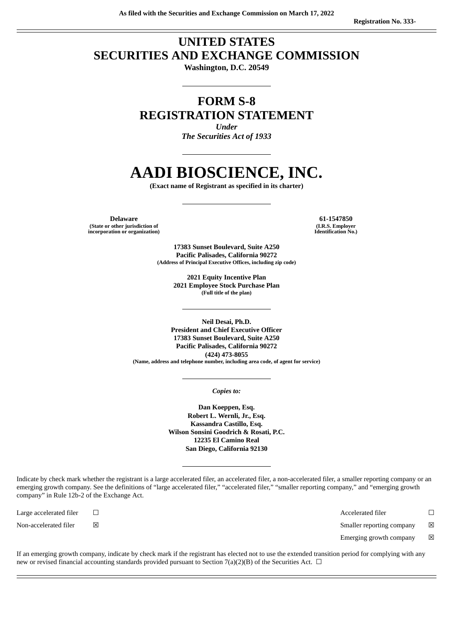# **UNITED STATES SECURITIES AND EXCHANGE COMMISSION**

**Washington, D.C. 20549**

# **FORM S-8 REGISTRATION STATEMENT**

*Under The Securities Act of 1933*

# **AADI BIOSCIENCE, INC.**

**(Exact name of Registrant as specified in its charter)**

**Delaware 61-1547850 (State or other jurisdiction of incorporation or organization)**

**(I.R.S. Employer Identification No.)**

**17383 Sunset Boulevard, Suite A250 Pacific Palisades, California 90272 (Address of Principal Executive Offices, including zip code)**

> **2021 Equity Incentive Plan 2021 Employee Stock Purchase Plan (Full title of the plan)**

**Neil Desai, Ph.D. President and Chief Executive Officer 17383 Sunset Boulevard, Suite A250 Pacific Palisades, California 90272 (424) 473-8055 (Name, address and telephone number, including area code, of agent for service)**

*Copies to:*

**Dan Koeppen, Esq. Robert L. Wernli, Jr., Esq. Kassandra Castillo, Esq. Wilson Sonsini Goodrich & Rosati, P.C. 12235 El Camino Real San Diego, California 92130**

Indicate by check mark whether the registrant is a large accelerated filer, an accelerated filer, a non-accelerated filer, a smaller reporting company or an emerging growth company. See the definitions of "large accelerated filer," "accelerated filer," "smaller reporting company," and "emerging growth company" in Rule 12b-2 of the Exchange Act.

Large accelerated filer ☐ Accelerated filer ☐ Non-accelerated filer  $□$  ⊠ smaller reporting company  $□$  Smaller reporting company  $□$ Emerging growth company  $\boxtimes$ 

If an emerging growth company, indicate by check mark if the registrant has elected not to use the extended transition period for complying with any new or revised financial accounting standards provided pursuant to Section 7(a)(2)(B) of the Securities Act.  $\Box$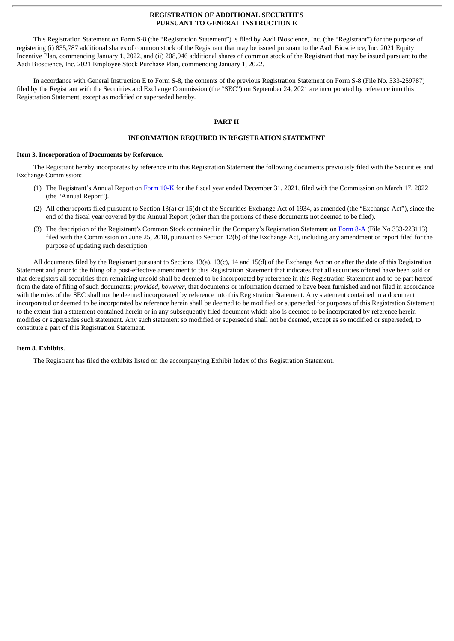## **REGISTRATION OF ADDITIONAL SECURITIES PURSUANT TO GENERAL INSTRUCTION E**

This Registration Statement on Form S-8 (the "Registration Statement") is filed by Aadi Bioscience, Inc. (the "Registrant") for the purpose of registering (i) 835,787 additional shares of common stock of the Registrant that may be issued pursuant to the Aadi Bioscience, Inc. 2021 Equity Incentive Plan, commencing January 1, 2022, and (ii) 208,946 additional shares of common stock of the Registrant that may be issued pursuant to the Aadi Bioscience, Inc. 2021 Employee Stock Purchase Plan, commencing January 1, 2022.

In accordance with General Instruction E to Form S-8, the contents of the previous Registration Statement on Form S-8 (File No. 333-259787) filed by the Registrant with the Securities and Exchange Commission (the "SEC") on September 24, 2021 are incorporated by reference into this Registration Statement, except as modified or superseded hereby.

# **PART II**

## **INFORMATION REQUIRED IN REGISTRATION STATEMENT**

#### **Item 3. Incorporation of Documents by Reference.**

The Registrant hereby incorporates by reference into this Registration Statement the following documents previously filed with the Securities and Exchange Commission:

- (1) The Registrant's Annual Report on [Form](http://www.sec.gov/ix?doc=/Archives/edgar/data/1422142/000156459022010721/aadi-10k_20211231.htm) 10-K for the fiscal year ended December 31, 2021, filed with the Commission on March 17, 2022 (the "Annual Report").
- (2) All other reports filed pursuant to Section 13(a) or 15(d) of the Securities Exchange Act of 1934, as amended (the "Exchange Act"), since the end of the fiscal year covered by the Annual Report (other than the portions of these documents not deemed to be filed).
- (3) The description of the Registrant's Common Stock contained in the Company's Registration Statement on [Form](http://www.sec.gov/Archives/edgar/data/1422142/000119312518202618/d624754d8a12b.htm) 8-A (File No 333-223113) filed with the Commission on June 25, 2018, pursuant to Section 12(b) of the Exchange Act, including any amendment or report filed for the purpose of updating such description.

All documents filed by the Registrant pursuant to Sections 13(a), 13(c), 14 and 15(d) of the Exchange Act on or after the date of this Registration Statement and prior to the filing of a post-effective amendment to this Registration Statement that indicates that all securities offered have been sold or that deregisters all securities then remaining unsold shall be deemed to be incorporated by reference in this Registration Statement and to be part hereof from the date of filing of such documents; *provided*, *however*, that documents or information deemed to have been furnished and not filed in accordance with the rules of the SEC shall not be deemed incorporated by reference into this Registration Statement. Any statement contained in a document incorporated or deemed to be incorporated by reference herein shall be deemed to be modified or superseded for purposes of this Registration Statement to the extent that a statement contained herein or in any subsequently filed document which also is deemed to be incorporated by reference herein modifies or supersedes such statement. Any such statement so modified or superseded shall not be deemed, except as so modified or superseded, to constitute a part of this Registration Statement.

## **Item 8. Exhibits.**

The Registrant has filed the exhibits listed on the accompanying Exhibit Index of this Registration Statement.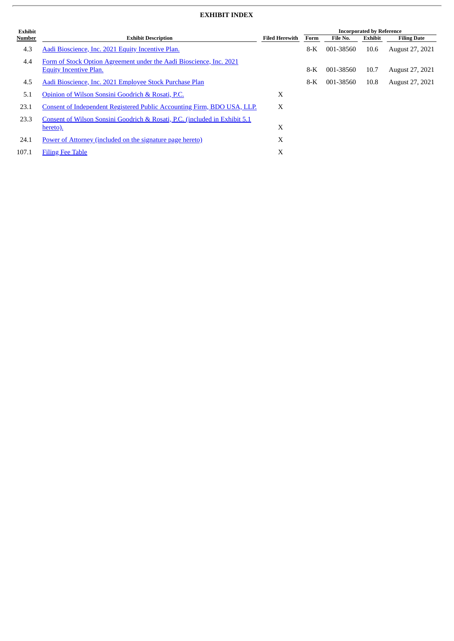# **EXHIBIT INDEX**

| Exhibit |                                                                                                      |                       | <b>Incorporated by Reference</b> |           |                |                        |
|---------|------------------------------------------------------------------------------------------------------|-----------------------|----------------------------------|-----------|----------------|------------------------|
| Number  | <b>Exhibit Description</b>                                                                           | <b>Filed Herewith</b> | Form                             | File No.  | <b>Exhibit</b> | <b>Filing Date</b>     |
| 4.3     | Aadi Bioscience, Inc. 2021 Equity Incentive Plan.                                                    |                       | $8-K$                            | 001-38560 | 10.6           | <b>August 27, 2021</b> |
| 4.4     | Form of Stock Option Agreement under the Aadi Bioscience, Inc. 2021<br><b>Equity Incentive Plan.</b> |                       | $8-K$                            | 001-38560 | 10.7           | August 27, 2021        |
| 4.5     | Aadi Bioscience, Inc. 2021 Employee Stock Purchase Plan                                              |                       | $8-K$                            | 001-38560 | 10.8           | August 27, 2021        |
| 5.1     | Opinion of Wilson Sonsini Goodrich & Rosati, P.C.                                                    | X                     |                                  |           |                |                        |
| 23.1    | Consent of Independent Registered Public Accounting Firm, BDO USA, LLP.                              | X                     |                                  |           |                |                        |
| 23.3    | Consent of Wilson Sonsini Goodrich & Rosati, P.C. (included in Exhibit 5.1)<br>hereto).              | X                     |                                  |           |                |                        |
| 24.1    | Power of Attorney (included on the signature page hereto)                                            | X                     |                                  |           |                |                        |
| 107.1   | <b>Filing Fee Table</b>                                                                              | X                     |                                  |           |                |                        |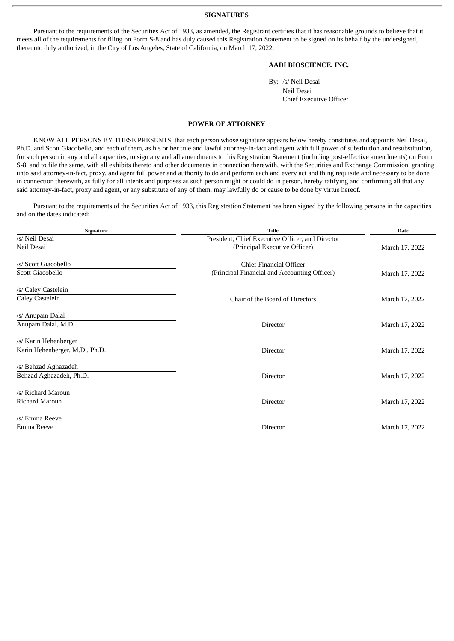#### **SIGNATURES**

Pursuant to the requirements of the Securities Act of 1933, as amended, the Registrant certifies that it has reasonable grounds to believe that it meets all of the requirements for filing on Form S-8 and has duly caused this Registration Statement to be signed on its behalf by the undersigned, thereunto duly authorized, in the City of Los Angeles, State of California, on March 17, 2022.

# **AADI BIOSCIENCE, INC.**

By: /s/ Neil Desai

Neil Desai Chief Executive Officer

#### **POWER OF ATTORNEY**

<span id="page-3-0"></span>KNOW ALL PERSONS BY THESE PRESENTS, that each person whose signature appears below hereby constitutes and appoints Neil Desai, Ph.D. and Scott Giacobello, and each of them, as his or her true and lawful attorney-in-fact and agent with full power of substitution and resubstitution, for such person in any and all capacities, to sign any and all amendments to this Registration Statement (including post-effective amendments) on Form S-8, and to file the same, with all exhibits thereto and other documents in connection therewith, with the Securities and Exchange Commission, granting unto said attorney-in-fact, proxy, and agent full power and authority to do and perform each and every act and thing requisite and necessary to be done in connection therewith, as fully for all intents and purposes as such person might or could do in person, hereby ratifying and confirming all that any said attorney-in-fact, proxy and agent, or any substitute of any of them, may lawfully do or cause to be done by virtue hereof.

Pursuant to the requirements of the Securities Act of 1933, this Registration Statement has been signed by the following persons in the capacities and on the dates indicated:

| <b>Signature</b>               | <b>Title</b>                                     | <b>Date</b>    |
|--------------------------------|--------------------------------------------------|----------------|
| /s/ Neil Desai                 | President, Chief Executive Officer, and Director |                |
| Neil Desai                     | (Principal Executive Officer)                    | March 17, 2022 |
| /s/ Scott Giacobello           | Chief Financial Officer                          |                |
| Scott Giacobello               | (Principal Financial and Accounting Officer)     | March 17, 2022 |
| /s/ Caley Castelein            |                                                  |                |
| Caley Castelein                | Chair of the Board of Directors                  | March 17, 2022 |
| /s/ Anupam Dalal               |                                                  |                |
| Anupam Dalal, M.D.             | Director                                         | March 17, 2022 |
| /s/ Karin Hehenberger          |                                                  |                |
| Karin Hehenberger, M.D., Ph.D. | Director                                         | March 17, 2022 |
| /s/ Behzad Aghazadeh           |                                                  |                |
| Behzad Aghazadeh, Ph.D.        | Director                                         | March 17, 2022 |
| /s/ Richard Maroun             |                                                  |                |
| <b>Richard Maroun</b>          | Director                                         | March 17, 2022 |
| /s/ Emma Reeve                 |                                                  |                |
| Emma Reeve                     | Director                                         | March 17, 2022 |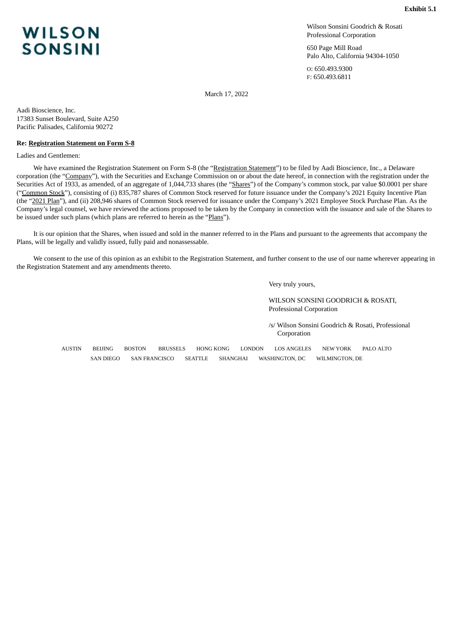# Wilson Sonsini Goodrich & Rosati Professional Corporation

650 Page Mill Road Palo Alto, California 94304-1050

O: 650.493.9300 F: 650.493.6811

March 17, 2022

Aadi Bioscience, Inc. 17383 Sunset Boulevard, Suite A250 Pacific Palisades, California 90272

## **Re: Registration Statement on Form S-8**

Ladies and Gentlemen:

We have examined the Registration Statement on Form S-8 (the "Registration Statement") to be filed by Aadi Bioscience, Inc., a Delaware corporation (the "Company"), with the Securities and Exchange Commission on or about the date hereof, in connection with the registration under the Securities Act of 1933, as amended, of an aggregate of 1,044,733 shares (the "Shares") of the Company's common stock, par value \$0.0001 per share ("Common Stock"), consisting of (i) 835,787 shares of Common Stock reserved for future issuance under the Company's 2021 Equity Incentive Plan (the "2021 Plan"), and (ii) 208,946 shares of Common Stock reserved for issuance under the Company's 2021 Employee Stock Purchase Plan. As the Company's legal counsel, we have reviewed the actions proposed to be taken by the Company in connection with the issuance and sale of the Shares to be issued under such plans (which plans are referred to herein as the "Plans").

It is our opinion that the Shares, when issued and sold in the manner referred to in the Plans and pursuant to the agreements that accompany the Plans, will be legally and validly issued, fully paid and nonassessable.

We consent to the use of this opinion as an exhibit to the Registration Statement, and further consent to the use of our name wherever appearing in the Registration Statement and any amendments thereto.

Very truly yours,

WILSON SONSINI GOODRICH & ROSATI, Professional Corporation

/s/ Wilson Sonsini Goodrich & Rosati, Professional Corporation

AUSTIN BEIJING BOSTON BRUSSELS HONG KONG LONDON LOS ANGELES NEW YORK PALO ALTO SAN DIEGO SAN FRANCISCO SEATTLE SHANGHAI WASHINGTON, DC WILMINGTON, DE

# <span id="page-4-0"></span>**WILSON SONSINI**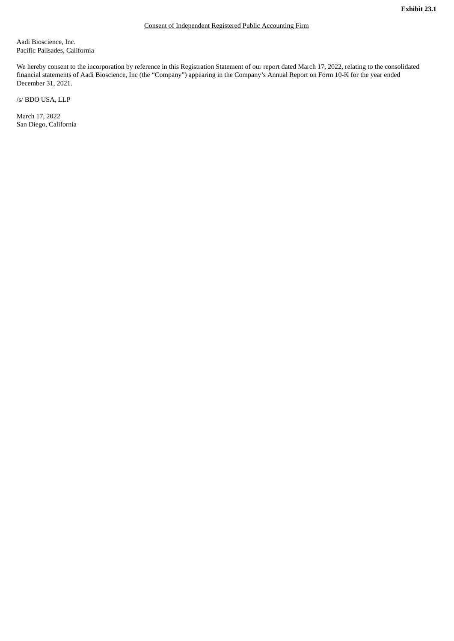<span id="page-5-0"></span>Aadi Bioscience, Inc. Pacific Palisades, California

We hereby consent to the incorporation by reference in this Registration Statement of our report dated March 17, 2022, relating to the consolidated financial statements of Aadi Bioscience, Inc (the "Company") appearing in the Company's Annual Report on Form 10-K for the year ended December 31, 2021.

/s/ BDO USA, LLP

March 17, 2022 San Diego, California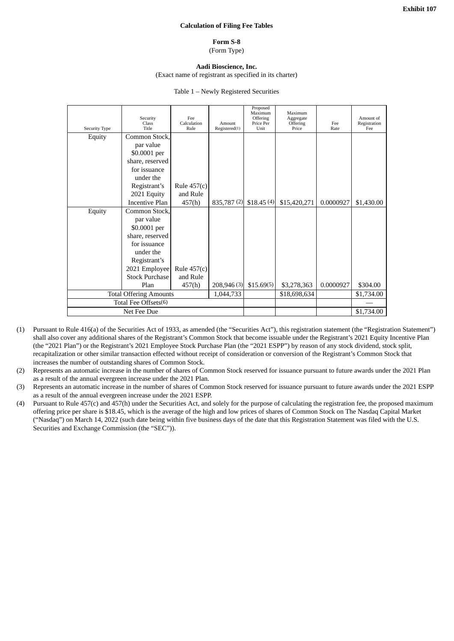## **Calculation of Filing Fee Tables**

#### **Form S-8** (Form Type)

# **Aadi Bioscience, Inc.**

# (Exact name of registrant as specified in its charter)

#### Table 1 – Newly Registered Securities

<span id="page-6-0"></span>

| Security<br>Class<br>Title    | Fee<br>Calculation<br>Rule               | Amount<br>Registered(1) | Proposed<br>Maximum<br>Offering<br>Price Per<br>Unit | Maximum<br>Aggregate<br>Offering<br>Price | Fee<br>Rate  | Amount of<br>Registration<br>Fee |
|-------------------------------|------------------------------------------|-------------------------|------------------------------------------------------|-------------------------------------------|--------------|----------------------------------|
| Common Stock,                 |                                          |                         |                                                      |                                           |              |                                  |
| par value                     |                                          |                         |                                                      |                                           |              |                                  |
| \$0.0001 per                  |                                          |                         |                                                      |                                           |              |                                  |
| share, reserved               |                                          |                         |                                                      |                                           |              |                                  |
| for issuance                  |                                          |                         |                                                      |                                           |              |                                  |
| under the                     |                                          |                         |                                                      |                                           |              |                                  |
| Registrant's                  | Rule $457(c)$                            |                         |                                                      |                                           |              |                                  |
| 2021 Equity                   | and Rule                                 |                         |                                                      |                                           |              |                                  |
|                               | 457(h)                                   |                         | \$18.45(4)                                           |                                           |              | \$1,430.00                       |
| Common Stock,                 |                                          |                         |                                                      |                                           |              |                                  |
| par value                     |                                          |                         |                                                      |                                           |              |                                  |
| \$0.0001 per                  |                                          |                         |                                                      |                                           |              |                                  |
|                               |                                          |                         |                                                      |                                           |              |                                  |
| for issuance                  |                                          |                         |                                                      |                                           |              |                                  |
| under the                     |                                          |                         |                                                      |                                           |              |                                  |
| Registrant's                  |                                          |                         |                                                      |                                           |              |                                  |
| 2021 Employee                 |                                          |                         |                                                      |                                           |              |                                  |
| <b>Stock Purchase</b>         | and Rule                                 |                         |                                                      |                                           |              |                                  |
| Plan                          |                                          |                         | \$15.69(5)                                           | \$3,278,363                               | 0.0000927    | \$304.00                         |
| <b>Total Offering Amounts</b> |                                          |                         |                                                      | \$18,698,634                              |              | \$1,734.00                       |
| Total Fee Offsets(6)          |                                          |                         |                                                      |                                           |              |                                  |
| Net Fee Due                   |                                          |                         |                                                      |                                           |              | \$1,734.00                       |
|                               | <b>Incentive Plan</b><br>share, reserved | Rule $457(c)$<br>457(h) | 1,044,733                                            | 835,787 (2)<br>208,946 (3)                | \$15,420,271 | 0.0000927                        |

- (1) Pursuant to Rule 416(a) of the Securities Act of 1933, as amended (the "Securities Act"), this registration statement (the "Registration Statement") shall also cover any additional shares of the Registrant's Common Stock that become issuable under the Registrant's 2021 Equity Incentive Plan (the "2021 Plan") or the Registrant's 2021 Employee Stock Purchase Plan (the "2021 ESPP") by reason of any stock dividend, stock split, recapitalization or other similar transaction effected without receipt of consideration or conversion of the Registrant's Common Stock that increases the number of outstanding shares of Common Stock.
- (2) Represents an automatic increase in the number of shares of Common Stock reserved for issuance pursuant to future awards under the 2021 Plan as a result of the annual evergreen increase under the 2021 Plan.
- (3) Represents an automatic increase in the number of shares of Common Stock reserved for issuance pursuant to future awards under the 2021 ESPP as a result of the annual evergreen increase under the 2021 ESPP.
- (4) Pursuant to Rule 457(c) and 457(h) under the Securities Act, and solely for the purpose of calculating the registration fee, the proposed maximum offering price per share is \$18.45, which is the average of the high and low prices of shares of Common Stock on The Nasdaq Capital Market ("Nasdaq") on March 14, 2022 (such date being within five business days of the date that this Registration Statement was filed with the U.S. Securities and Exchange Commission (the "SEC")).